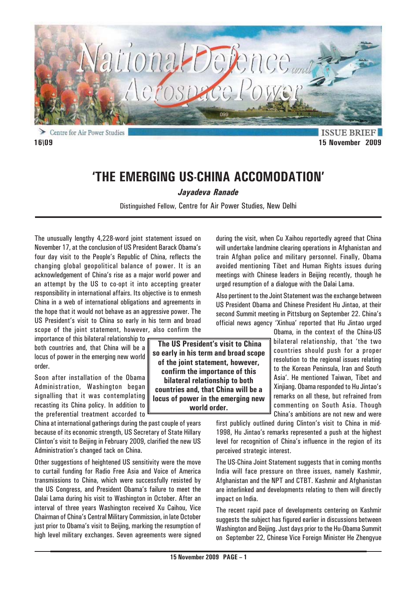

Centre for Air Power Studies **16\09 15 November 2009**

**ISSUE BRIE** 

# **'THE EMERGING US-CHINA ACCOMODATION'**

*Jayadeva Ranade*

Distinguished Fellow, Centre for Air Power Studies, New Delhi

The unusually lengthy 4,228-word joint statement issued on November 17, at the conclusion of US President Barack Obama's four day visit to the People's Republic of China, reflects the changing global geopolitical balance of power. It is an acknowledgement of China's rise as a major world power and an attempt by the US to co-opt it into accepting greater responsibility in international affairs. Its objective is to enmesh China in a web of international obligations and agreements in the hope that it would not behave as an aggressive power. The US President's visit to China so early in his term and broad scope of the joint statement, however, also confirm the

importance of this bilateral relationship to both countries and, that China will be a locus of power in the emerging new world order.

Soon after installation of the Obama Administration, Washington began signalling that it was contemplating recasting its China policy. In addition to the preferential treatment accorded to

China at international gatherings during the past couple of years because of its economic strength, US Secretary of State Hillary Clinton's visit to Beijing in February 2009, clarified the new US Administration's changed tack on China.

Other suggestions of heightened US sensitivity were the move to curtail funding for Radio Free Asia and Voice of America transmissions to China, which were successfully resisted by the US Congress, and President Obama's failure to meet the Dalai Lama during his visit to Washington in October. After an interval of three years Washington received Xu Caihou, Vice Chairman of China's Central Military Commission, in late October just prior to Obama's visit to Beijing, marking the resumption of high level military exchanges. Seven agreements were signed

during the visit, when Cu Xaihou reportedly agreed that China will undertake landmine clearing operations in Afghanistan and train Afghan police and military personnel. Finally, Obama avoided mentioning Tibet and Human Rights issues during meetings with Chinese leaders in Beijing recently, though he urged resumption of a dialogue with the Dalai Lama.

Also pertinent to the Joint Statement was the exchange between US President Obama and Chinese President Hu Jintao, at their second Summit meeting in Pittsburg on September 22. China's official news agency 'Xinhua' reported that Hu Jintao urged

> Obama, in the context of the China-US bilateral relationship, that 'the two countries should push for a proper resolution to the regional issues relating to the Korean Peninsula, Iran and South Asia'. He mentioned Taiwan, Tibet and Xinjiang. Obama responded to Hu Jintao's remarks on all these, but refrained from commenting on South Asia. Though China's ambitions are not new and were

first publicly outlined during Clinton's visit to China in mid-1998, Hu Jintao's remarks represented a push at the highest level for recognition of China's influence in the region of its perceived strategic interest.

The US-China Joint Statement suggests that in coming months India will face pressure on three issues, namely Kashmir, Afghanistan and the NPT and CTBT. Kashmir and Afghanistan are interlinked and developments relating to them will directly impact on India.

The recent rapid pace of developments centering on Kashmir suggests the subject has figured earlier in discussions between Washington and Beijing. Just days prior to the Hu-Obama Summit on September 22, Chinese Vice Foreign Minister He Zhengyue

 **The US President's visit to China so early in his term and broad scope of the joint statement, however, confirm the importance of this bilateral relationship to both countries and, that China will be a locus of power in the emerging new world order.**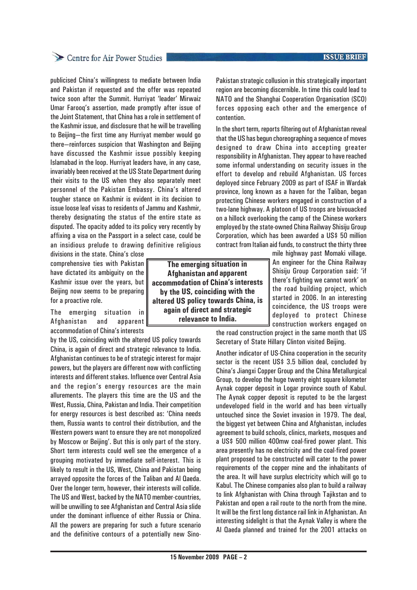## Centre for Air Power Studies

publicised China's willingness to mediate between India and Pakistan if requested and the offer was repeated twice soon after the Summit. Hurriyat 'leader' Mirwaiz Umar Farooq's assertion, made promptly after issue of the Joint Statement, that China has a role in settlement of the Kashmir issue, and disclosure that he will be travelling to Beijing—the first time any Hurriyat member would go there—reinforces suspicion that Washington and Beijing have discussed the Kashmir issue possibly keeping Islamabad in the loop. Hurriyat leaders have, in any case, invariably been received at the US State Department during their visits to the US when they also separately meet personnel of the Pakistan Embassy. China's altered tougher stance on Kashmir is evident in its decision to issue loose leaf visas to residents of Jammu and Kashmir, thereby designating the status of the entire state as disputed. The opacity added to its policy very recently by affixing a visa on the Passport in a select case, could be an insidious prelude to drawing definitive religious

divisions in the state. China's close comprehensive ties with Pakistan have dictated its ambiguity on the Kashmir issue over the years, but Beijing now seems to be preparing for a proactive role.

The emerging situation in Afghanistan and apparent accommodation of China's interests

by the US, coinciding with the altered US policy towards China, is again of direct and strategic relevance to India. Afghanistan continues to be of strategic interest for major powers, but the players are different now with conflicting interests and different stakes. Influence over Central Asia and the region's energy resources are the main allurements. The players this time are the US and the West, Russia, China, Pakistan and India. Their competition for energy resources is best described as: 'China needs them, Russia wants to control their distribution, and the Western powers want to ensure they are not monopolized by Moscow or Beijing'. But this is only part of the story. Short term interests could well see the emergence of a grouping motivated by immediate self-interest. This is likely to result in the US, West, China and Pakistan being arrayed opposite the forces of the Taliban and Al Qaeda. Over the longer term, however, their interests will collide. The US and West, backed by the NATO member-countries, will be unwilling to see Afghanistan and Central Asia slide under the dominant influence of either Russia or China. All the powers are preparing for such a future scenario and the definitive contours of a potentially new Sino-

**The emerging situation in Afghanistan and apparent accommodation of China's interests by the US, coinciding with the altered US policy towards China, is again of direct and strategic relevance to India.**

Pakistan strategic collusion in this strategically important region are becoming discernible. In time this could lead to NATO and the Shanghai Cooperation Organisation (SCO) forces opposing each other and the emergence of contention.

In the short term, reports filtering out of Afghanistan reveal that the US has begun choreographing a sequence of moves designed to draw China into accepting greater responsibility in Afghanistan. They appear to have reached some informal understanding on security issues in the effort to develop and rebuild Afghanistan. US forces deployed since February 2009 as part of ISAF in Wardak province, long known as a haven for the Taliban, began protecting Chinese workers engaged in construction of a two-lane highway. A platoon of US troops are bivouacked on a hillock overlooking the camp of the Chinese workers employed by the state-owned China Railway Shisiju Group Corporation, which has been awarded a US\$ 50 million contract from Italian aid funds, to construct the thirty three

mile highway past Momaki village. An engineer for the China Railway Shisiju Group Corporation said: 'if there's fighting we cannot work' on the road building project, which started in 2006. In an interesting coincidence, the US troops were deployed to protect Chinese construction workers engaged on

the road construction project in the same month that US Secretary of State Hillary Clinton visited Beijing.

Another indicator of US-China cooperation in the security sector is the recent US\$ 3.5 billion deal, concluded by China's Jiangxi Copper Group and the China Metallurgical Group, to develop the huge twenty eight square kilometer Aynak copper deposit in Logar province south of Kabul. The Aynak copper deposit is reputed to be the largest undeveloped field in the world and has been virtually untouched since the Soviet invasion in 1979. The deal, the biggest yet between China and Afghanistan, includes agreement to build schools, clinics, markets, mosques and a US\$ 500 million 400mw coal-fired power plant. This area presently has no electricity and the coal-fired power plant proposed to be constructed will cater to the power requirements of the copper mine and the inhabitants of the area. It will have surplus electricity which will go to Kabul. The Chinese companies also plan to build a railway to link Afghanistan with China through Tajikstan and to Pakistan and open a rail route to the north from the mine. It will be the first long distance rail link in Afghanistan. An interesting sidelight is that the Aynak Valley is where the Al Qaeda planned and trained for the 2001 attacks on

### **ISSUE BRIEF**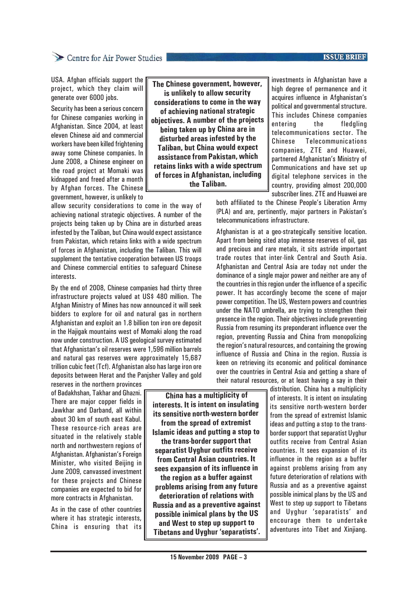## Centre for Air Power Studies

#### **ISSUE BRIEF**

USA. Afghan officials support the project, which they claim will generate over 6000 jobs.

Security has been a serious concern for Chinese companies working in Afghanistan. Since 2004, at least eleven Chinese aid and commercial workers have been killed frightening away some Chinese companies. In June 2008, a Chinese engineer on the road project at Momaki was kidnapped and freed after a month by Afghan forces. The Chinese government, however, is unlikely to

allow security considerations to come in the way of achieving national strategic objectives. A number of the projects being taken up by China are in disturbed areas infested by the Taliban, but China would expect assistance from Pakistan, which retains links with a wide spectrum of forces in Afghanistan, including the Taliban. This will supplement the tentative cooperation between US troops and Chinese commercial entities to safeguard Chinese interests.

By the end of 2008, Chinese companies had thirty three infrastructure projects valued at US\$ 480 million. The Afghan Ministry of Mines has now announced it will seek bidders to explore for oil and natural gas in northern Afghanistan and exploit an 1.8 billion ton iron ore deposit in the Hajigak mountains west of Momaki along the road now under construction. A US geological survey estimated that Afghanistan's oil reserves were 1,596 million barrels and natural gas reserves were approximately 15,687 trillion cubic feet (Tcf). Afghanistan also has large iron ore deposits between Herat and the Panjsher Valley and gold

reserves in the northern provinces of Badakhshan, Takhar and Ghazni. There are major copper fields in Jawkhar and Darband, all within about 30 km of south east Kabul. These resource-rich areas are situated in the relatively stable north and northwestern regions of Afghanistan. Afghanistan's Foreign Minister, who visited Beijing in June 2009, canvassed investment for these projects and Chinese companies are expected to bid for more contracts in Afghanistan.

As in the case of other countries where it has strategic interests, China is ensuring that its

**The Chinese government, however, is unlikely to allow security considerations to come in the way of achieving national strategic objectives. A number of the projects being taken up by China are in disturbed areas infested by the Taliban, but China would expect assistance from Pakistan, which retains links with a wide spectrum of forces in Afghanistan, including the Taliban.**

investments in Afghanistan have a high degree of permanence and it acquires influence in Afghanistan's political and governmental structure. This includes Chinese companies entering the fledgling telecommunications sector. The Chinese Telecommunications companies, ZTE and Huawei, partnered Afghanistan's Ministry of Communications and have set up digital telephone services in the country, providing almost 200,000 subscriber lines. ZTE and Huawei are

both affiliated to the Chinese People's Liberation Army (PLA) and are, pertinently, major partners in Pakistan's telecommunications infrastructure.

Afghanistan is at a geo-strategically sensitive location. Apart from being sited atop immense reserves of oil, gas and precious and rare metals, it sits astride important trade routes that inter-link Central and South Asia. Afghanistan and Central Asia are today not under the dominance of a single major power and neither are any of the countries in this region under the influence of a specific power. It has accordingly become the scene of major power competition. The US, Western powers and countries under the NATO umbrella, are trying to strengthen their presence in the region. Their objectives include preventing Russia from resuming its preponderant influence over the region, preventing Russia and China from monopolizing the region's natural resources, and containing the growing influence of Russia and China in the region. Russia is keen on retrieving its economic and political dominance over the countries in Central Asia and getting a share of their natural resources, or at least having a say in their

distribution. China has a multiplicity of interests. It is intent on insulating its sensitive north-western border from the spread of extremist Islamic ideas and putting a stop to the transborder support that separatist Uyghur outfits receive from Central Asian countries. It sees expansion of its influence in the region as a buffer against problems arising from any future deterioration of relations with Russia and as a preventive against possible inimical plans by the US and West to step up support to Tibetans and Uyghur 'separatists' and encourage them to undertake adventures into Tibet and Xinjiang.

 **China has a multiplicity of interests. It is intent on insulating its sensitive north-western border from the spread of extremist Islamic ideas and putting a stop to the trans-border support that separatist Uyghur outfits receive from Central Asian countries. It sees expansion of its influence in the region as a buffer against problems arising from any future deterioration of relations with Russia and as a preventive against possible inimical plans by the US and West to step up support to Tibetans and Uyghur 'separatists'.**